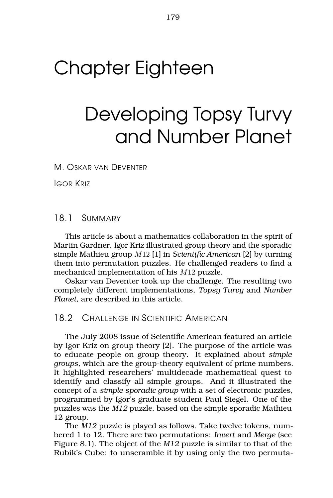# Chapter Eighteen

# Developing Topsy Turvy and Number Planet

M. OSKAR VAN DEVENTER

IGOR KRIZ

#### 18.1 SUMMARY

This article is about a mathematics collaboration in the spirit of Martin Gardner. Igor Kriz illustrated group theory and the sporadic simple Mathieu group M12 [1] in *Scientific American* [2] by turning them into permutation puzzles. He challenged readers to find a mechanical implementation of his M12 puzzle.

Oskar van Deventer took up the challenge. The resulting two completely different implementations, *Topsy Turvy* and *Number Planet*, are described in this article.

# 18.2 CHALLENGE IN SCIENTIFIC AMERICAN

The July 2008 issue of Scientific American featured an article by Igor Kriz on group theory [2]. The purpose of the article was to educate people on group theory. It explained about *simple groups*, which are the group-theory equivalent of prime numbers. It highlighted researchers' multidecade mathematical quest to identify and classify all simple groups. And it illustrated the concept of a *simple sporadic group* with a set of electronic puzzles, programmed by Igor's graduate student Paul Siegel. One of the puzzles was the *M12* puzzle, based on the simple sporadic Mathieu 12 group.

The *M12* puzzle is played as follows. Take twelve tokens, numbered 1 to 12. There are two permutations: *Invert* and *Merge* (see Figure 8.1). The object of the *M12* puzzle is similar to that of the Rubik's Cube: to unscramble it by using only the two permuta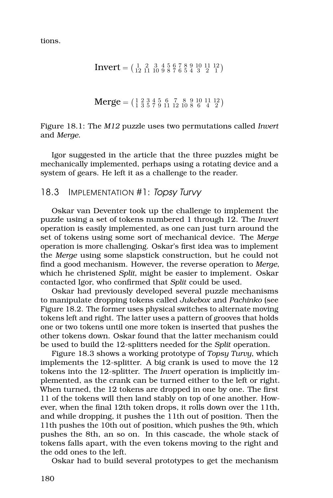tions.

$$
Invert = \left(\begin{smallmatrix} 1 & 2 & 3 & 4 & 5 & 6 & 7 & 8 & 9 & 10 & 11 & 12 \\ 12 & 11 & 10 & 9 & 8 & 7 & 6 & 5 & 4 & 3 & 2 & 1 \end{smallmatrix}\right)
$$

$$
Merge = \left(\begin{smallmatrix} 1 & 2 & 3 & 4 & 5 & 6 & 7 & 8 & 9 & 10 & 11 & 12 \\ 1 & 3 & 5 & 7 & 9 & 11 & 12 & 10 & 8 & 6 & 4 & 2 \end{smallmatrix}\right)
$$

Figure 18.1: The *M12* puzzle uses two permutations called *Invert* and *Merge*.

Igor suggested in the article that the three puzzles might be mechanically implemented, perhaps using a rotating device and a system of gears. He left it as a challenge to the reader.

#### 18.3 IMPLEMENTATION #1: Topsy Turvy

Oskar van Deventer took up the challenge to implement the puzzle using a set of tokens numbered 1 through 12. The *Invert* operation is easily implemented, as one can just turn around the set of tokens using some sort of mechanical device. The *Merge* operation is more challenging. Oskar's first idea was to implement the *Merge* using some slapstick construction, but he could not find a good mechanism. However, the reverse operation to *Merge*, which he christened *Split*, might be easier to implement. Oskar contacted Igor, who confirmed that *Split* could be used.

Oskar had previously developed several puzzle mechanisms to manipulate dropping tokens called *Jukebox* and *Pachinko* (see Figure [18.2.](#page-2-0) The former uses physical switches to alternate moving tokens left and right. The latter uses a pattern of grooves that holds one or two tokens until one more token is inserted that pushes the other tokens down. Oskar found that the latter mechanism could be used to build the 12-splitters needed for the *Split* operation.

Figure [18.3](#page-2-1) shows a working prototype of *Topsy Turvy*, which implements the 12-splitter. A big crank is used to move the 12 tokens into the 12-splitter. The *Invert* operation is implicitly implemented, as the crank can be turned either to the left or right. When turned, the 12 tokens are dropped in one by one. The first 11 of the tokens will then land stably on top of one another. However, when the final 12th token drops, it rolls down over the 11th, and while dropping, it pushes the 11th out of position. Then the 11th pushes the 10th out of position, which pushes the 9th, which pushes the 8th, an so on. In this cascade, the whole stack of tokens falls apart, with the even tokens moving to the right and the odd ones to the left.

Oskar had to build several prototypes to get the mechanism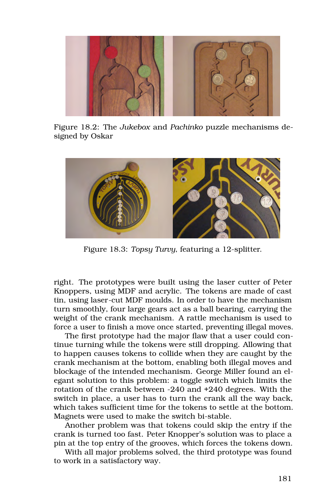<span id="page-2-0"></span>

Figure 18.2: The *Jukebox* and *Pachinko* puzzle mechanisms designed by Oskar

<span id="page-2-1"></span>

Figure 18.3: *Topsy Turvy*, featuring a 12-splitter.

right. The prototypes were built using the laser cutter of Peter Knoppers, using MDF and acrylic. The tokens are made of cast tin, using laser-cut MDF moulds. In order to have the mechanism turn smoothly, four large gears act as a ball bearing, carrying the weight of the crank mechanism. A rattle mechanism is used to force a user to finish a move once started, preventing illegal moves.

The first prototype had the major flaw that a user could continue turning while the tokens were still dropping. Allowing that to happen causes tokens to collide when they are caught by the crank mechanism at the bottom, enabling both illegal moves and blockage of the intended mechanism. George Miller found an elegant solution to this problem: a toggle switch which limits the rotation of the crank between -240 and +240 degrees. With the switch in place, a user has to turn the crank all the way back, which takes sufficient time for the tokens to settle at the bottom. Magnets were used to make the switch bi-stable.

Another problem was that tokens could skip the entry if the crank is turned too fast. Peter Knopper's solution was to place a pin at the top entry of the grooves, which forces the tokens down.

With all major problems solved, the third prototype was found to work in a satisfactory way.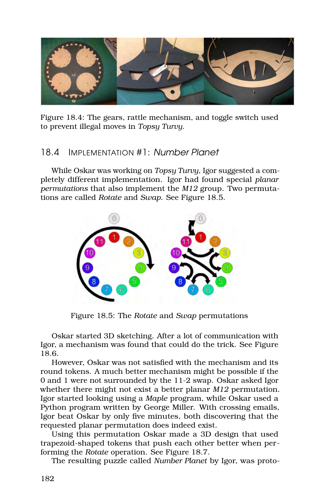

Figure 18.4: The gears, rattle mechanism, and toggle switch used to prevent illegal moves in *Topsy Turvy*.

# 18.4 IMPLEMENTATION #1: Number Planet

While Oskar was working on *Topsy Turvy*, Igor suggested a completely different implementation. Igor had found special *planar permutations* that also implement the *M12* group. Two permutations are called *Rotate* and *Swap*. See Figure [18.5.](#page-3-0)

<span id="page-3-0"></span>

Figure 18.5: The *Rotate* and *Swap* permutations

Oskar started 3D sketching. After a lot of communication with Igor, a mechanism was found that could do the trick. See Figure [18.6.](#page-4-0)

However, Oskar was not satisfied with the mechanism and its round tokens. A much better mechanism might be possible if the 0 and 1 were not surrounded by the 11-2 swap. Oskar asked Igor whether there might not exist a better planar *M12* permutation. Igor started looking using a *Maple* program, while Oskar used a Python program written by George Miller. With crossing emails, Igor beat Oskar by only five minutes, both discovering that the requested planar permutation does indeed exist.

Using this permutation Oskar made a 3D design that used trapezoid-shaped tokens that push each other better when performing the *Rotate* operation. See Figure [18.7.](#page-4-1)

The resulting puzzle called *Number Planet* by Igor, was proto-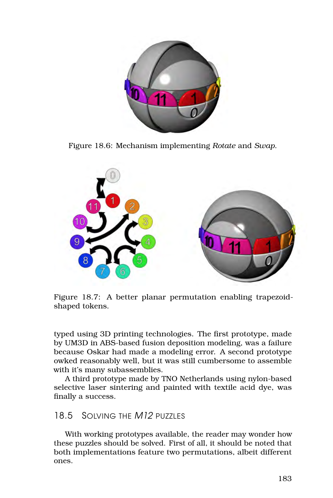<span id="page-4-0"></span>

Figure 18.6: Mechanism implementing *Rotate* and *Swap*.

<span id="page-4-1"></span>

Figure 18.7: A better planar permutation enabling trapezoidshaped tokens.

typed using 3D printing technologies. The first prototype, made by UM3D in ABS-based fusion deposition modeling, was a failure because Oskar had made a modeling error. A second prototype owked reasonably well, but it was still cumbersome to assemble with it's many subassemblies.

A third prototype made by TNO Netherlands using nylon-based selective laser sintering and painted with textile acid dye, was finally a success.

# 18.5 SOLVING THE M12 PUZZLES

With working prototypes available, the reader may wonder how these puzzles should be solved. First of all, it should be noted that both implementations feature two permutations, albeit different ones.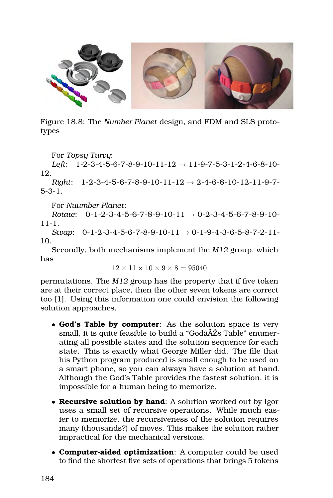

Figure 18.8: The *Number Planet* design, and FDM and SLS prototypes

For *Topsy Turvy*:

*Left*: 1-2-3-4-5-6-7-8-9-10-11-12 → 11-9-7-5-3-1-2-4-6-8-10- 12.

*Right*: 1-2-3-4-5-6-7-8-9-10-11-12 → 2-4-6-8-10-12-11-9-7- 5-3-1.

For *Nuumber Planet*:

*Rotate*: 0-1-2-3-4-5-6-7-8-9-10-11 → 0-2-3-4-5-6-7-8-9-10- 11-1.

*Swap*:  $0-1-2-3-4-5-6-7-8-9-10-11 \rightarrow 0-1-9-4-3-6-5-8-7-2-11-$ 10.

Secondly, both mechanisms implement the *M12* group, which has

$$
12\times11\times10\times9\times8=95040
$$

permutations. The *M12* group has the property that if five token are at their correct place, then the other seven tokens are correct too [1]. Using this information one could envision the following solution approaches.

- **God's Table by computer**: As the solution space is very small, it is quite feasible to build a "Godâ $\tilde{A}Z$ s Table" enumerating all possible states and the solution sequence for each state. This is exactly what George Miller did. The file that his Python program produced is small enough to be used on a smart phone, so you can always have a solution at hand. Although the God's Table provides the fastest solution, it is impossible for a human being to memorize.
- **Recursive solution by hand**: A solution worked out by Igor uses a small set of recursive operations. While much easier to memorize, the recursiveness of the solution requires many (thousands?) of moves. This makes the solution rather impractical for the mechanical versions.
- **Computer-aided optimization**: A computer could be used to find the shortest five sets of operations that brings 5 tokens